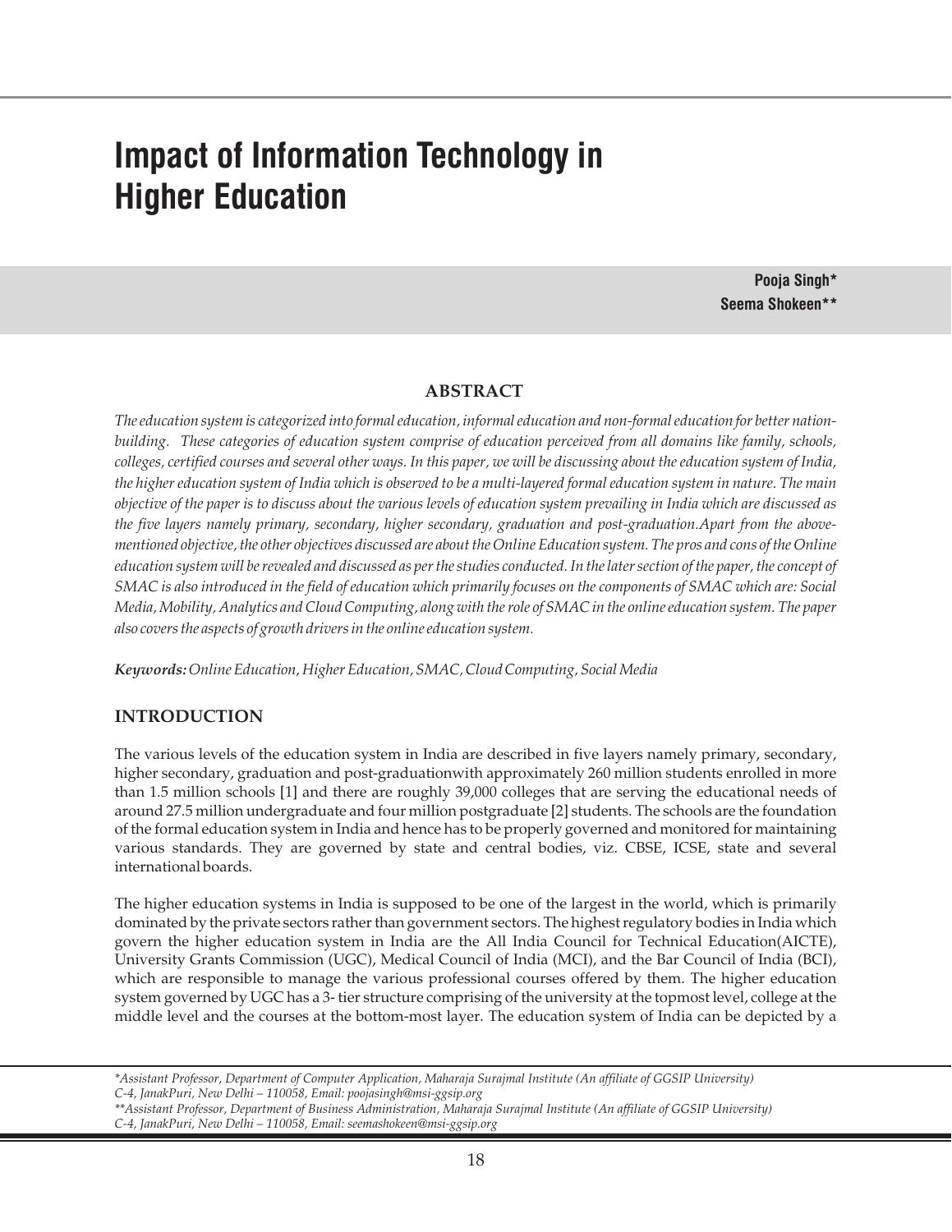# **Impact of Information Technology in Higher Education**

**Pooja Singh\* Seema Shokeen\*\***

#### **ABSTRACT**

*The education system is categorized into formal education, informal education and non-formal education for better nationbuilding. These categories of education system comprise of education perceived from all domains like family, schools, colleges, certified courses and several other ways. In this paper, we will be discussing about the education system of India, the higher education system of India which is observed to be a multi-layered formal education system in nature. The main objective of the paper is to discuss about the various levels of education system prevailing in India which are discussed as the five layers namely primary, secondary, higher secondary, graduation and post-graduation.Apart from the abovementioned objective, the other objectives discussed are about the Online Education system. The pros and cons of the Online education system will be revealed and discussed as per the studies conducted. In the later section of the paper, the concept of SMAC is also introduced in the field of education which primarily focuses on the components of SMAC which are: Social Media, Mobility, Analytics and Cloud Computing, along with the role of SMAC in the online education system. The paper also covers the aspects of growth drivers in the online education system.*

*Keywords:Online Education, Higher Education, SMAC, Cloud Computing, Social Media*

### **INTRODUCTION**

The various levels of the education system in India are described in five layers namely primary, secondary, higher secondary, graduation and post-graduationwith approximately 260 million students enrolled in more than 1.5 million schools [1] and there are roughly 39,000 colleges that are serving the educational needs of around 27.5 million undergraduate and four million postgraduate [2] students. The schools are the foundation of the formal education system in India and hence has to be properly governed and monitored for maintaining various standards. They are governed by state and central bodies, viz. CBSE, ICSE, state and several international boards.

The higher education systems in India is supposed to be one of the largest in the world, which is primarily dominated by the private sectors rather than government sectors. The highest regulatory bodies in India which govern the higher education system in India are the All India Council for Technical Education(AICTE), University Grants Commission (UGC), Medical Council of India (MCI), and the Bar Council of India (BCI), which are responsible to manage the various professional courses offered by them. The higher education system governed by UGC has a 3- tier structure comprising of the university at the topmost level, college at the middle level and the courses at the bottom-most layer. The education system of India can be depicted by a

*<sup>\*</sup>Assistant Professor, Department of Computer Application, Maharaja Surajmal Institute (An affiliate of GGSIP University) C-4, JanakPuri, New Delhi – 110058, Email: poojasingh@msi-ggsip.org*

*<sup>\*\*</sup>Assistant Professor, Department of Business Administration, Maharaja Surajmal Institute (An affiliate of GGSIP University) C-4, JanakPuri, New Delhi – 110058, Email: seemashokeen@msi-ggsip.org*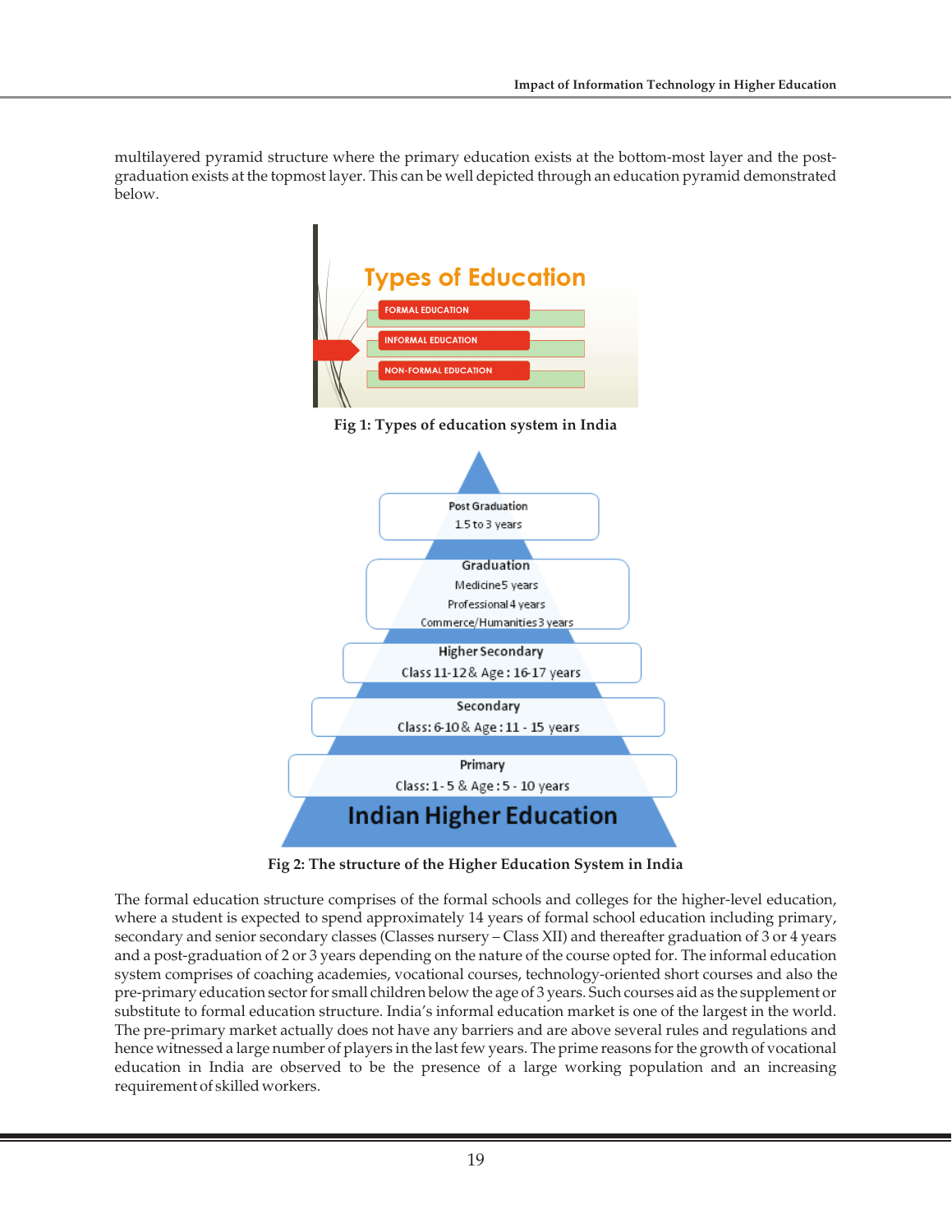multilayered pyramid structure where the primary education exists at the bottom-most layer and the postgraduation exists at the topmost layer. This can be well depicted through an education pyramid demonstrated below.



**Fig 2: The structure of the Higher Education System in India**

The formal education structure comprises of the formal schools and colleges for the higher-level education, where a student is expected to spend approximately 14 years of formal school education including primary, secondary and senior secondary classes (Classes nursery – Class XII) and thereafter graduation of 3 or 4 years and a post-graduation of 2 or 3 years depending on the nature of the course opted for. The informal education system comprises of coaching academies, vocational courses, technology-oriented short courses and also the pre-primary education sector for small children below the age of 3 years. Such courses aid as the supplement or substitute to formal education structure. India's informal education market is one of the largest in the world. The pre-primary market actually does not have any barriers and are above several rules and regulations and hence witnessed a large number of players in the last few years. The prime reasons for the growth of vocational education in India are observed to be the presence of a large working population and an increasing requirement of skilled workers.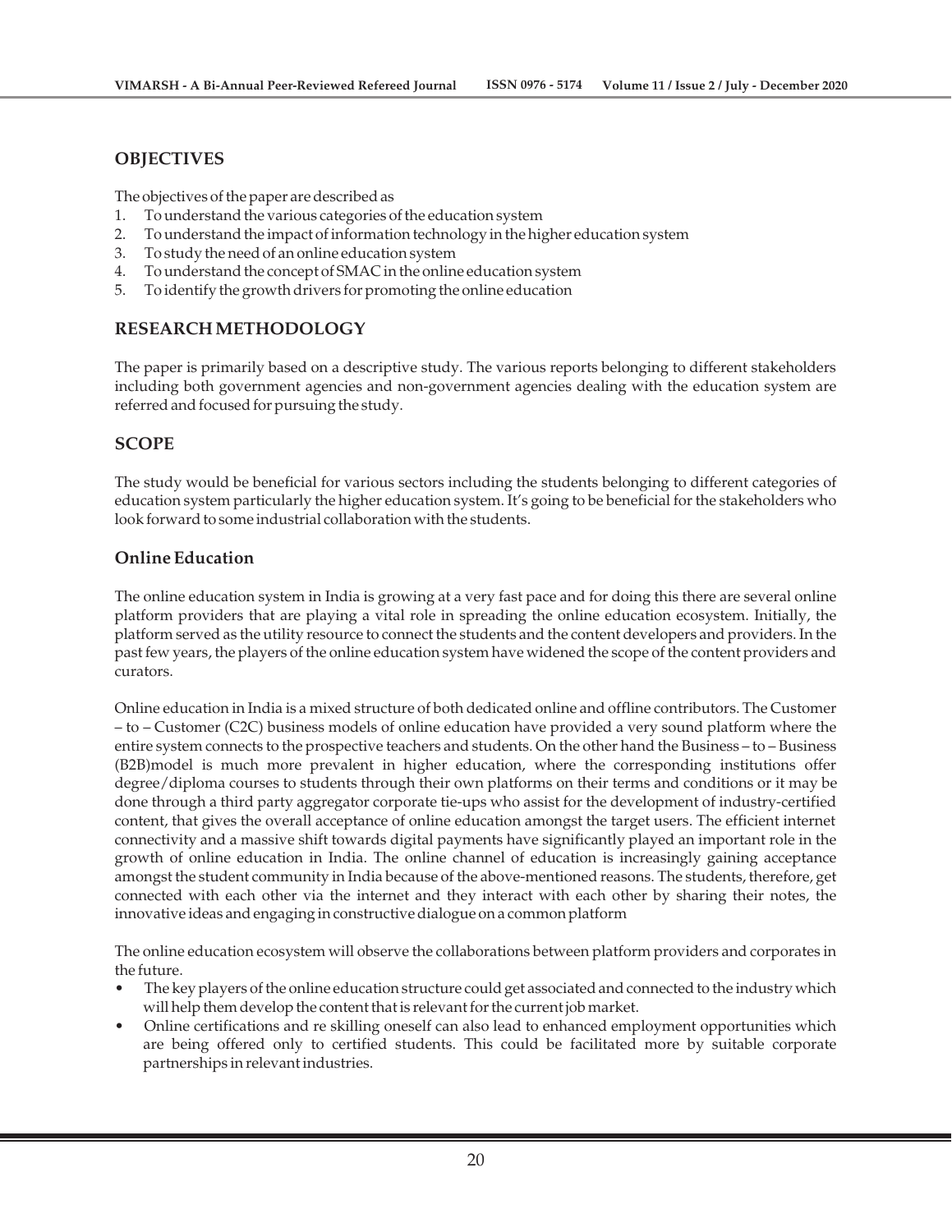# **OBJECTIVES**

The objectives of the paper are described as

- 1. To understand the various categories of the education system
- 2. To understand the impact of information technology in the higher education system
- 3. To study the need of an online education system
- 4. To understand the concept of SMAC in the online education system
- 5. To identify the growth drivers for promoting the online education

# **RESEARCH METHODOLOGY**

The paper is primarily based on a descriptive study. The various reports belonging to different stakeholders including both government agencies and non-government agencies dealing with the education system are referred and focused for pursuing the study.

# **SCOPE**

The study would be beneficial for various sectors including the students belonging to different categories of education system particularly the higher education system. It's going to be beneficial for the stakeholders who look forward to some industrial collaboration with the students.

## **Online Education**

The online education system in India is growing at a very fast pace and for doing this there are several online platform providers that are playing a vital role in spreading the online education ecosystem. Initially, the platform served as the utility resource to connect the students and the content developers and providers. In the past few years, the players of the online education system have widened the scope of the content providers and curators.

Online education in India is a mixed structure of both dedicated online and offline contributors. The Customer – to – Customer (C2C) business models of online education have provided a very sound platform where the entire system connects to the prospective teachers and students. On the other hand the Business – to – Business (B2B)model is much more prevalent in higher education, where the corresponding institutions offer degree/diploma courses to students through their own platforms on their terms and conditions or it may be done through a third party aggregator corporate tie-ups who assist for the development of industry-certified content, that gives the overall acceptance of online education amongst the target users. The efficient internet connectivity and a massive shift towards digital payments have significantly played an important role in the growth of online education in India. The online channel of education is increasingly gaining acceptance amongst the student community in India because of the above-mentioned reasons. The students, therefore, get connected with each other via the internet and they interact with each other by sharing their notes, the innovative ideas and engaging in constructive dialogue on a common platform

The online education ecosystem will observe the collaborations between platform providers and corporates in the future.

- The key players of the online education structure could get associated and connected to the industry which will help them develop the content that is relevant for the current job market.
- Online certifications and re skilling oneself can also lead to enhanced employment opportunities which are being offered only to certified students. This could be facilitated more by suitable corporate partnerships in relevant industries.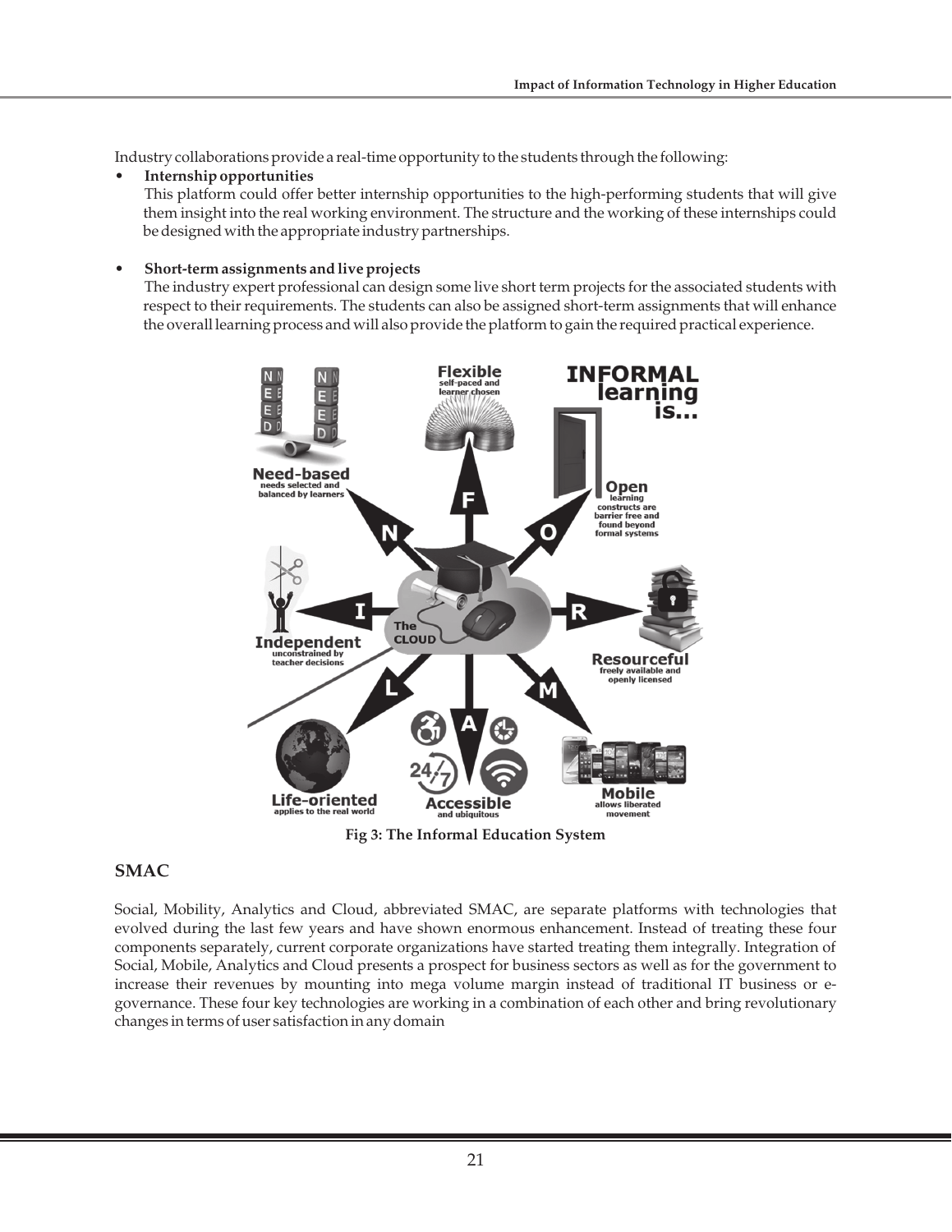Industry collaborations provide a real-time opportunity to the students through the following:

#### **• Internship opportunities**

This platform could offer better internship opportunities to the high-performing students that will give them insight into the real working environment. The structure and the working of these internships could be designed with the appropriate industry partnerships.

### **• Short-term assignments and live projects**

The industry expert professional can design some live short term projects for the associated students with respect to their requirements. The students can also be assigned short-term assignments that will enhance the overall learning process and will also provide the platform to gain the required practical experience.



**Fig 3: The Informal Education System**

# **SMAC**

Social, Mobility, Analytics and Cloud, abbreviated SMAC, are separate platforms with technologies that evolved during the last few years and have shown enormous enhancement. Instead of treating these four components separately, current corporate organizations have started treating them integrally. Integration of Social, Mobile, Analytics and Cloud presents a prospect for business sectors as well as for the government to increase their revenues by mounting into mega volume margin instead of traditional IT business or egovernance. These four key technologies are working in a combination of each other and bring revolutionary changes in terms of user satisfaction in any domain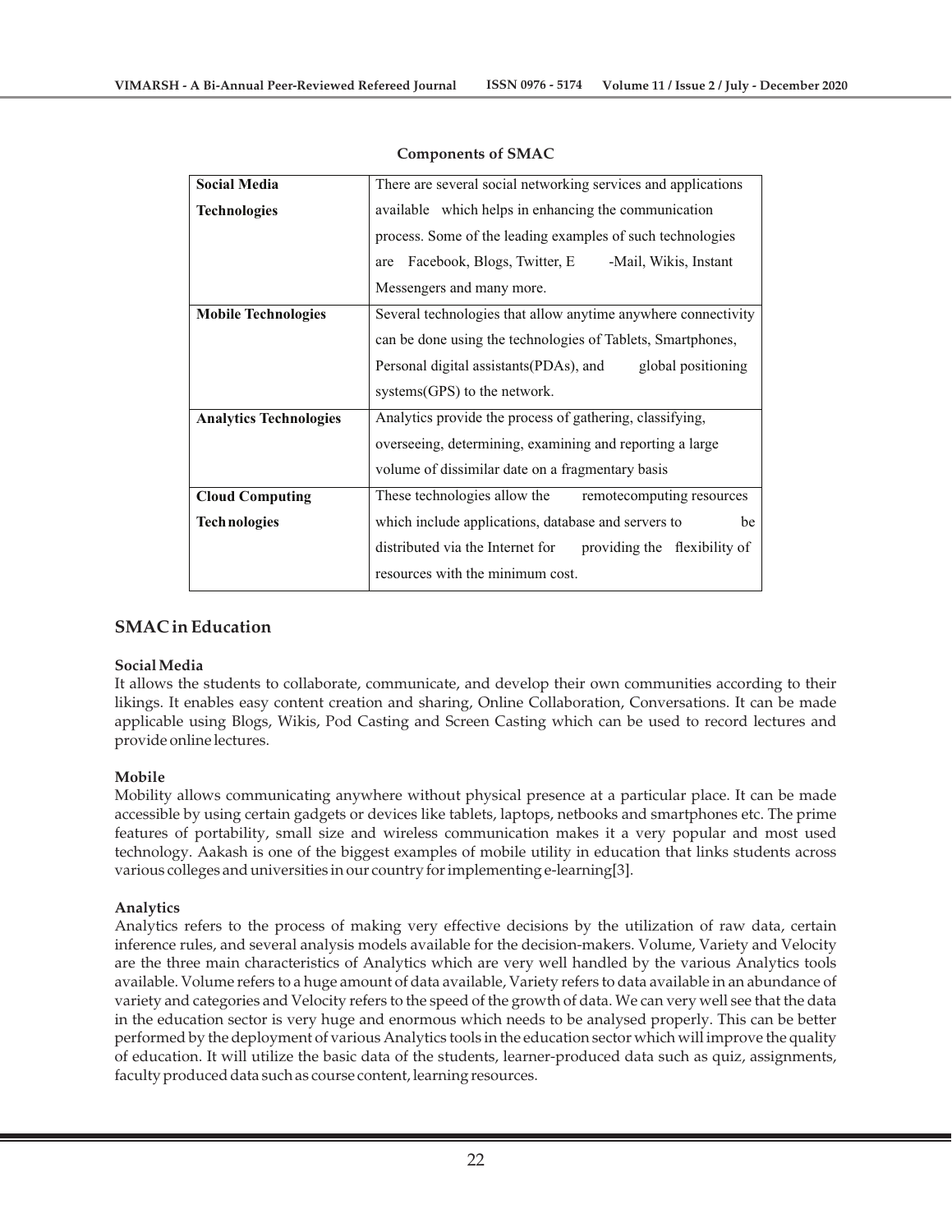| <b>Social Media</b>           | There are several social networking services and applications    |  |  |
|-------------------------------|------------------------------------------------------------------|--|--|
| <b>Technologies</b>           | available which helps in enhancing the communication             |  |  |
|                               | process. Some of the leading examples of such technologies       |  |  |
|                               | Facebook, Blogs, Twitter, E<br>-Mail, Wikis, Instant<br>are      |  |  |
|                               | Messengers and many more.                                        |  |  |
| <b>Mobile Technologies</b>    | Several technologies that allow anytime anywhere connectivity    |  |  |
|                               | can be done using the technologies of Tablets, Smartphones,      |  |  |
|                               | Personal digital assistants (PDAs), and<br>global positioning    |  |  |
|                               | systems (GPS) to the network.                                    |  |  |
| <b>Analytics Technologies</b> | Analytics provide the process of gathering, classifying,         |  |  |
|                               | overseeing, determining, examining and reporting a large         |  |  |
|                               | volume of dissimilar date on a fragmentary basis                 |  |  |
| <b>Cloud Computing</b>        | These technologies allow the<br>remotecomputing resources        |  |  |
| <b>Technologies</b>           | which include applications, database and servers to<br>be        |  |  |
|                               | distributed via the Internet for<br>providing the flexibility of |  |  |
|                               | resources with the minimum cost.                                 |  |  |

#### **Components of SMAC**

# **SMAC in Education**

#### **Social Media**

It allows the students to collaborate, communicate, and develop their own communities according to their likings. It enables easy content creation and sharing, Online Collaboration, Conversations. It can be made applicable using Blogs, Wikis, Pod Casting and Screen Casting which can be used to record lectures and provide online lectures.

### **Mobile**

Mobility allows communicating anywhere without physical presence at a particular place. It can be made accessible by using certain gadgets or devices like tablets, laptops, netbooks and smartphones etc. The prime features of portability, small size and wireless communication makes it a very popular and most used technology. Aakash is one of the biggest examples of mobile utility in education that links students across various colleges and universities in our country for implementing e-learning[3].

### **Analytics**

Analytics refers to the process of making very effective decisions by the utilization of raw data, certain inference rules, and several analysis models available for the decision-makers. Volume, Variety and Velocity are the three main characteristics of Analytics which are very well handled by the various Analytics tools available. Volume refers to a huge amount of data available, Variety refers to data available in an abundance of variety and categories and Velocity refers to the speed of the growth of data. We can very well see that the data in the education sector is very huge and enormous which needs to be analysed properly. This can be better performed by the deployment of various Analytics tools in the education sector which will improve the quality of education. It will utilize the basic data of the students, learner-produced data such as quiz, assignments, faculty produced data such as course content, learning resources.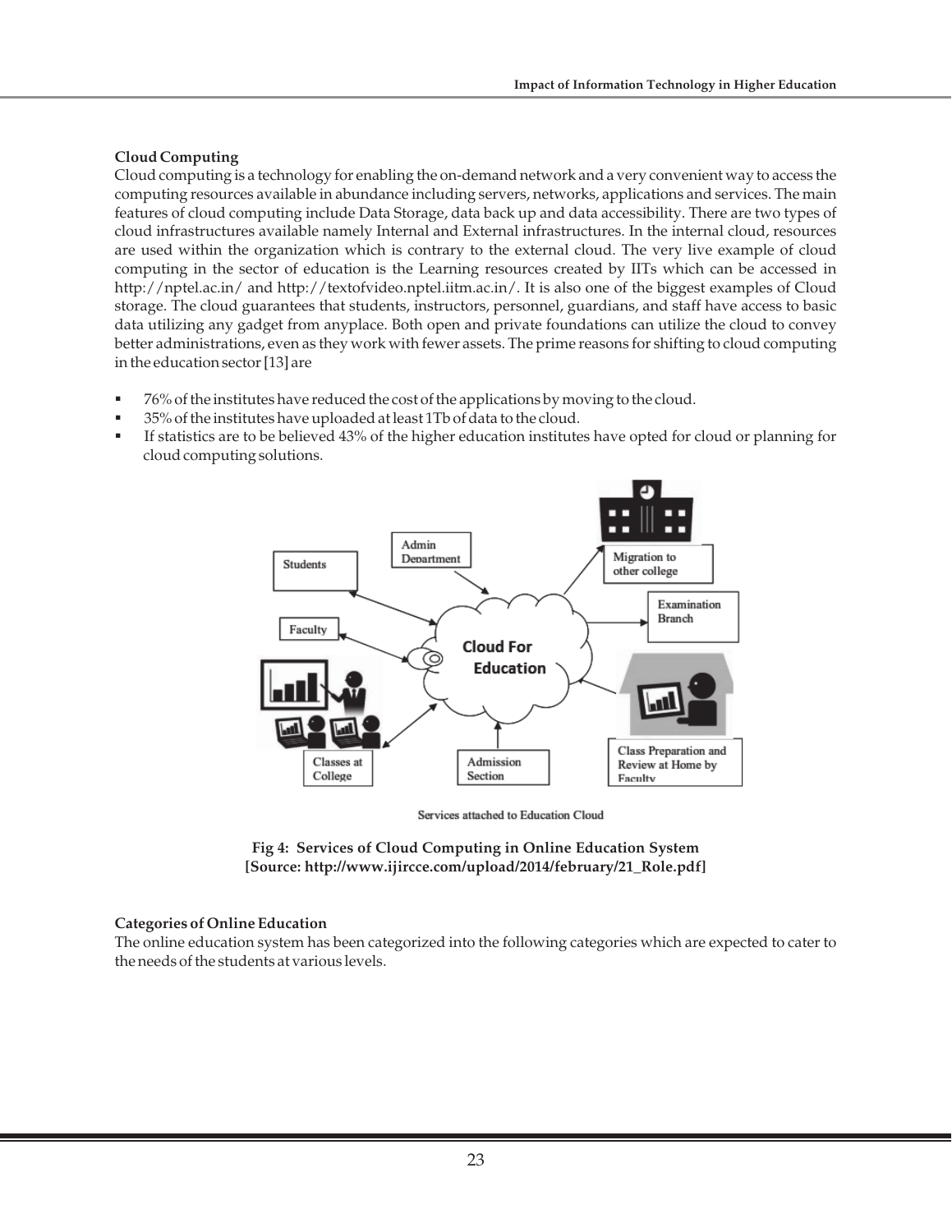# **Cloud Computing**

Cloud computing is a technology for enabling the on-demand network and a very convenient way to access the computing resources available in abundance including servers, networks, applications and services. The main features of cloud computing include Data Storage, data back up and data accessibility. There are two types of cloud infrastructures available namely Internal and External infrastructures. In the internal cloud, resources are used within the organization which is contrary to the external cloud. The very live example of cloud computing in the sector of education is the Learning resources created by IITs which can be accessed in http://nptel.ac.in/ and http://textofvideo.nptel.iitm.ac.in/. It is also one of the biggest examples of Cloud storage. The cloud guarantees that students, instructors, personnel, guardians, and staff have access to basic data utilizing any gadget from anyplace. Both open and private foundations can utilize the cloud to convey better administrations, even as they work with fewer assets. The prime reasons for shifting to cloud computing in the education sector [13] are

- § 76% of the institutes have reduced the cost of the applications by moving to the cloud.
- § 35% of the institutes have uploaded at least 1Tb of data to the cloud.
- § If statistics are to be believed 43% of the higher education institutes have opted for cloud or planning for cloud computing solutions.



Services attached to Education Cloud



#### **Categories of Online Education**

The online education system has been categorized into the following categories which are expected to cater to the needs of the students at various levels.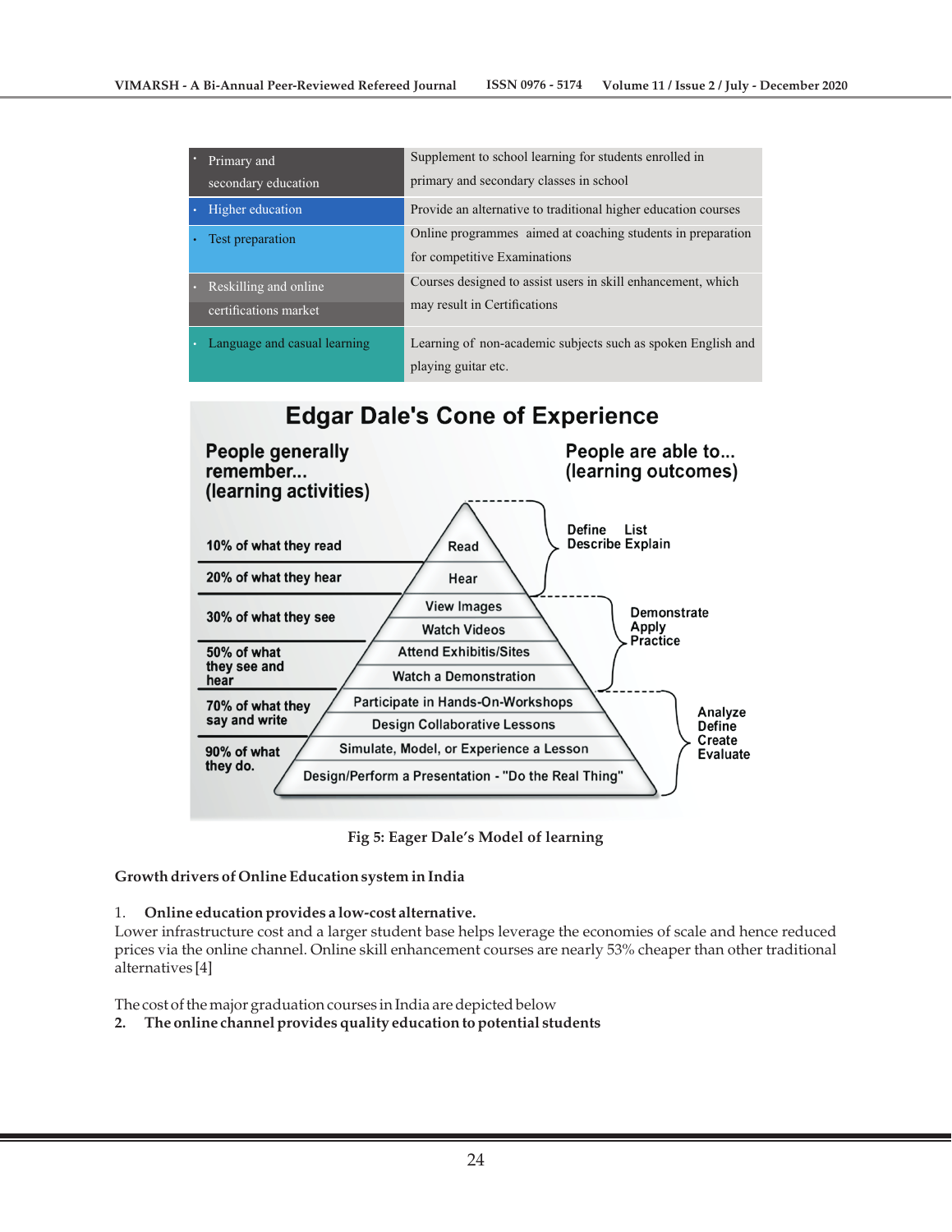| Primary and<br>secondary education             | Supplement to school learning for students enrolled in<br>primary and secondary classes in school |
|------------------------------------------------|---------------------------------------------------------------------------------------------------|
| Higher education                               | Provide an alternative to traditional higher education courses                                    |
| Test preparation                               | Online programmes aimed at coaching students in preparation<br>for competitive Examinations       |
| Reskilling and online<br>certifications market | Courses designed to assist users in skill enhancement, which<br>may result in Certifications      |
| Language and casual learning                   | Learning of non-academic subjects such as spoken English and<br>playing guitar etc.               |

#### **Edgar Dale's Cone of Experience People generally** People are able to... remember... (learning outcomes) (learning activities) Define List **Describe Explain** 10% of what they read Read 20% of what they hear Hear **View Images Demonstrate** 30% of what they see Apply **Watch Videos** Practice **Attend Exhibitis/Sites** 50% of what they see and **Watch a Demonstration** hear Participate in Hands-On-Workshops 70% of what they Analyze say and write Design Collaborative Lessons **Define** Create Simulate, Model, or Experience a Lesson 90% of what **Evaluate** they do. Design/Perform a Presentation - "Do the Real Thing"

**Fig 5: Eager Dale's Model of learning**

#### **Growth drivers of Online Education system in India**

#### 1. **Online education provides a low-cost alternative.**

Lower infrastructure cost and a larger student base helps leverage the economies of scale and hence reduced prices via the online channel. Online skill enhancement courses are nearly 53% cheaper than other traditional alternatives [4]

The cost of the major graduation courses in India are depicted below

**2. The online channel provides quality education to potential students**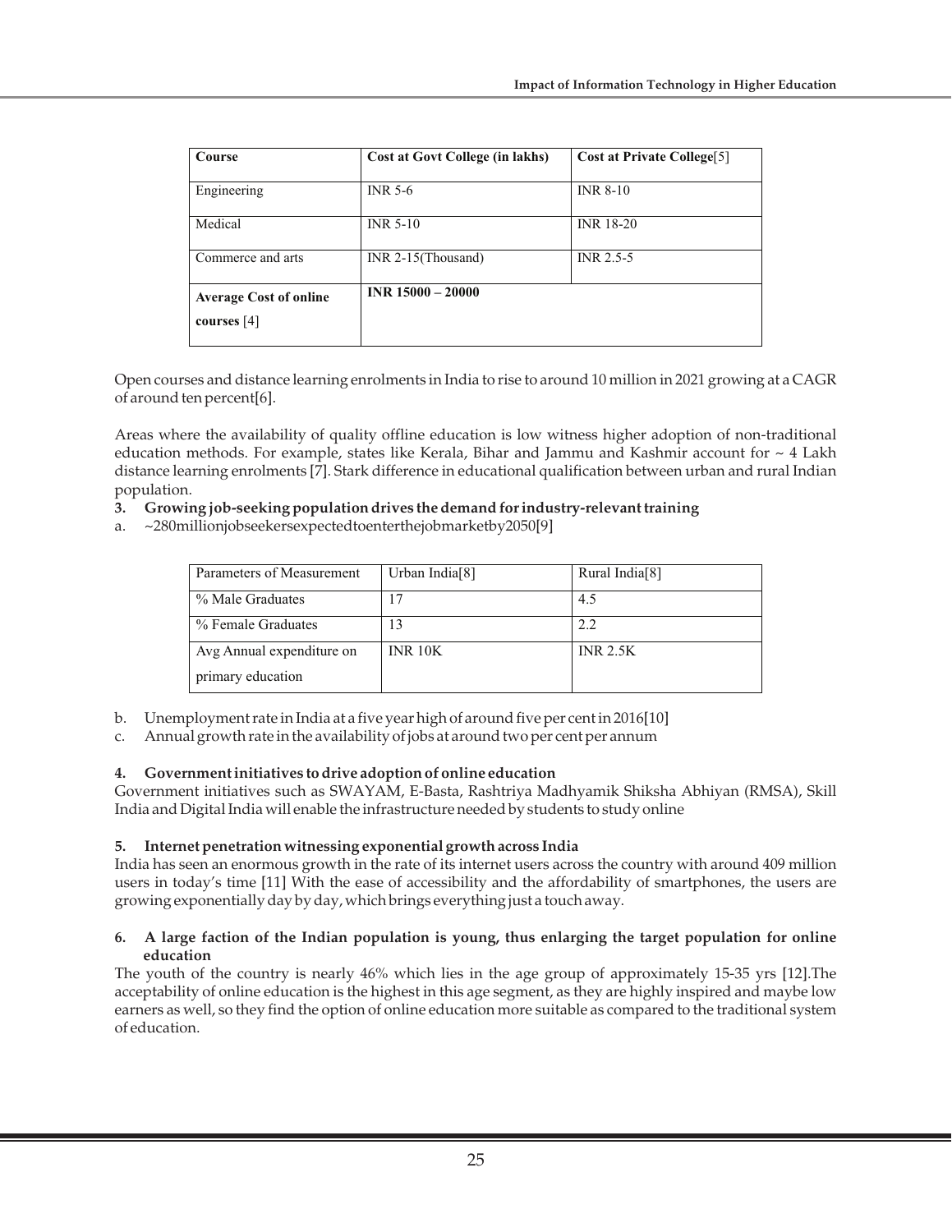| Course                        | Cost at Govt College (in lakhs) | <b>Cost at Private College</b> [5] |
|-------------------------------|---------------------------------|------------------------------------|
| Engineering                   | <b>INR 5-6</b>                  | <b>INR 8-10</b>                    |
| Medical                       | <b>INR 5-10</b>                 | <b>INR 18-20</b>                   |
| Commerce and arts             | INR $2-15$ (Thousand)           | INR 2.5-5                          |
| <b>Average Cost of online</b> | $INR$ 15000 - 20000             |                                    |
| courses $[4]$                 |                                 |                                    |

Open courses and distance learning enrolments in India to rise to around 10 million in 2021 growing at a CAGR of around ten percent[6].

Areas where the availability of quality offline education is low witness higher adoption of non-traditional education methods. For example, states like Kerala, Bihar and Jammu and Kashmir account for  $\sim 4$  Lakh distance learning enrolments [7]. Stark difference in educational qualification between urban and rural Indian population.

- **3. Growing job-seeking population drives the demand for industry-relevant training**
- a. ~280millionjobseekersexpectedtoenterthejobmarketby2050[9]

| Parameters of Measurement                      | Urban India <sup>[8]</sup> | Rural India <sup>[8]</sup> |
|------------------------------------------------|----------------------------|----------------------------|
| % Male Graduates                               | 17                         | 4.5                        |
| % Female Graduates                             | 13                         | 2.2                        |
| Avg Annual expenditure on<br>primary education | <b>INR 10K</b>             | <b>INR 2.5K</b>            |

b. Unemployment rate in India at a five year high of around five per cent in 2016[10]

c. Annual growth rate in the availability of jobs at around two per cent per annum

# **4. Government initiatives to drive adoption of online education**

Government initiatives such as SWAYAM, E-Basta, Rashtriya Madhyamik Shiksha Abhiyan (RMSA), Skill India and Digital India will enable the infrastructure needed by students to study online

### **5. Internet penetration witnessing exponential growth across India**

India has seen an enormous growth in the rate of its internet users across the country with around 409 million users in today's time [11] With the ease of accessibility and the affordability of smartphones, the users are growing exponentially day by day, which brings everything just a touch away.

### **6. A large faction of the Indian population is young, thus enlarging the target population for online education**

The youth of the country is nearly 46% which lies in the age group of approximately 15-35 yrs [12].The acceptability of online education is the highest in this age segment, as they are highly inspired and maybe low earners as well, so they find the option of online education more suitable as compared to the traditional system of education.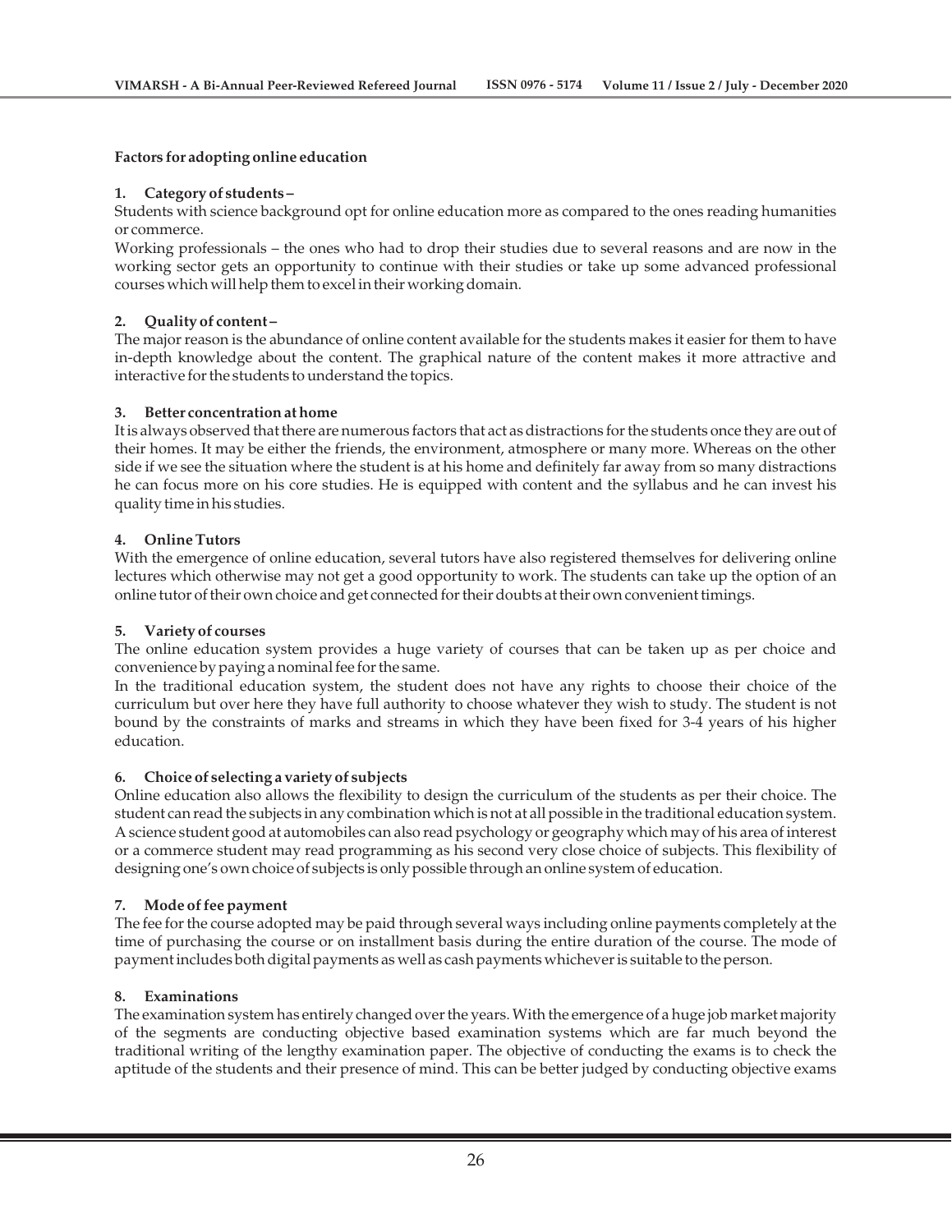#### **Factors for adopting online education**

#### **1. Category of students –**

Students with science background opt for online education more as compared to the ones reading humanities or commerce.

Working professionals – the ones who had to drop their studies due to several reasons and are now in the working sector gets an opportunity to continue with their studies or take up some advanced professional courses which will help them to excel in their working domain.

#### **2. Quality of content –**

The major reason is the abundance of online content available for the students makes it easier for them to have in-depth knowledge about the content. The graphical nature of the content makes it more attractive and interactive for the students to understand the topics.

#### **3. Better concentration at home**

It is always observed that there are numerous factors that act as distractions for the students once they are out of their homes. It may be either the friends, the environment, atmosphere or many more. Whereas on the other side if we see the situation where the student is at his home and definitely far away from so many distractions he can focus more on his core studies. He is equipped with content and the syllabus and he can invest his quality time in his studies.

#### **4. Online Tutors**

With the emergence of online education, several tutors have also registered themselves for delivering online lectures which otherwise may not get a good opportunity to work. The students can take up the option of an online tutor of their own choice and get connected for their doubts at their own convenient timings.

#### **5. Variety of courses**

The online education system provides a huge variety of courses that can be taken up as per choice and convenience by paying a nominal fee for the same.

In the traditional education system, the student does not have any rights to choose their choice of the curriculum but over here they have full authority to choose whatever they wish to study. The student is not bound by the constraints of marks and streams in which they have been fixed for 3-4 years of his higher education.

#### **6. Choice of selecting a variety of subjects**

Online education also allows the flexibility to design the curriculum of the students as per their choice. The student can read the subjects in any combination which is not at all possible in the traditional education system. A science student good at automobiles can also read psychology or geography which may of his area of interest or a commerce student may read programming as his second very close choice of subjects. This flexibility of designing one's own choice of subjects is only possible through an online system of education.

#### **7. Mode of fee payment**

The fee for the course adopted may be paid through several ways including online payments completely at the time of purchasing the course or on installment basis during the entire duration of the course. The mode of payment includes both digital payments as well as cash payments whichever is suitable to the person.

### **8. Examinations**

The examination system has entirely changed over the years. With the emergence of a huge job market majority of the segments are conducting objective based examination systems which are far much beyond the traditional writing of the lengthy examination paper. The objective of conducting the exams is to check the aptitude of the students and their presence of mind. This can be better judged by conducting objective exams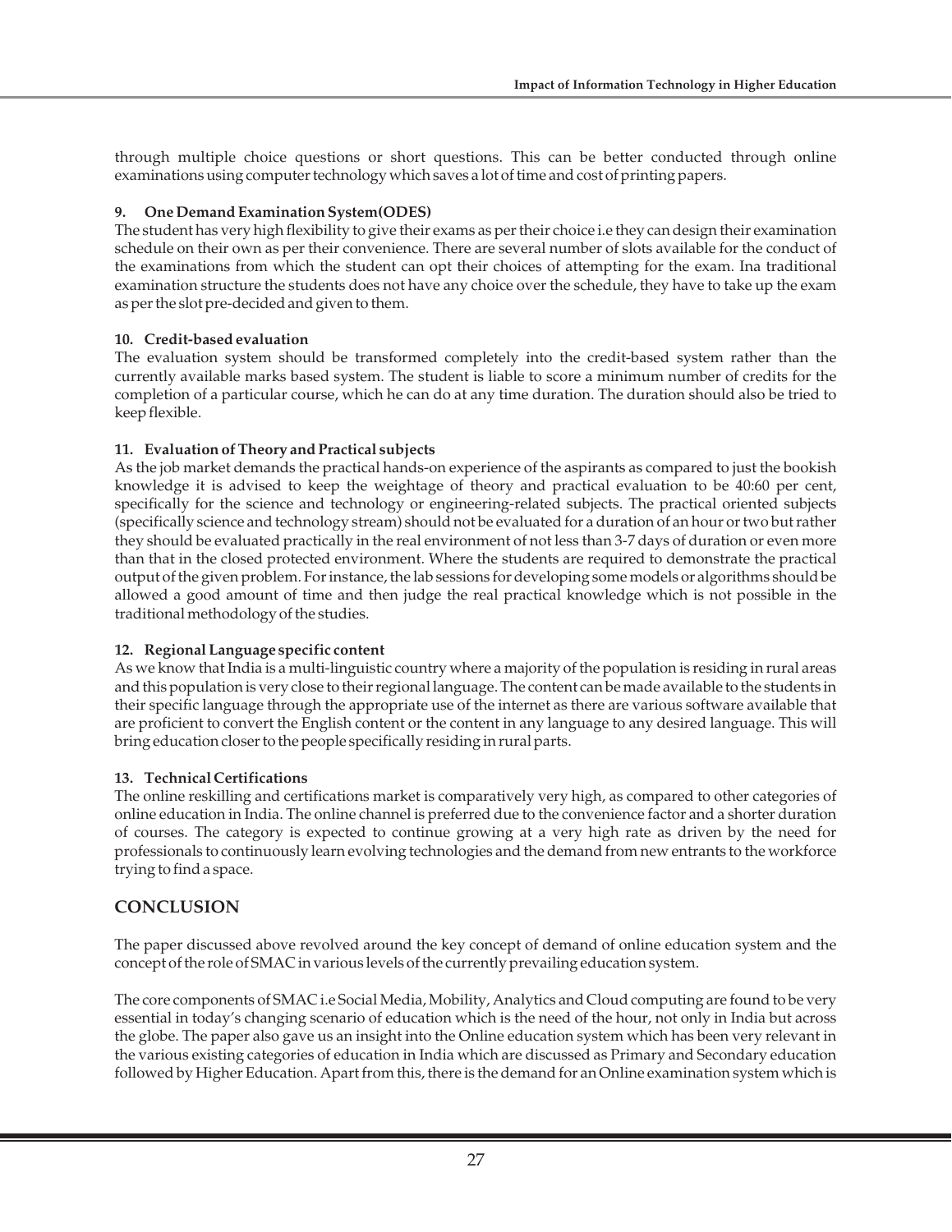through multiple choice questions or short questions. This can be better conducted through online examinations using computer technology which saves a lot of time and cost of printing papers.

#### **9. One Demand Examination System(ODES)**

The student has very high flexibility to give their exams as per their choice i.e they can design their examination schedule on their own as per their convenience. There are several number of slots available for the conduct of the examinations from which the student can opt their choices of attempting for the exam. Ina traditional examination structure the students does not have any choice over the schedule, they have to take up the exam as per the slot pre-decided and given to them.

#### **10. Credit-based evaluation**

The evaluation system should be transformed completely into the credit-based system rather than the currently available marks based system. The student is liable to score a minimum number of credits for the completion of a particular course, which he can do at any time duration. The duration should also be tried to keep flexible.

### **11. Evaluation of Theory and Practical subjects**

As the job market demands the practical hands-on experience of the aspirants as compared to just the bookish knowledge it is advised to keep the weightage of theory and practical evaluation to be 40:60 per cent, specifically for the science and technology or engineering-related subjects. The practical oriented subjects (specifically science and technology stream) should not be evaluated for a duration of an hour or two but rather they should be evaluated practically in the real environment of not less than 3-7 days of duration or even more than that in the closed protected environment. Where the students are required to demonstrate the practical output of the given problem. For instance, the lab sessions for developing some models or algorithms should be allowed a good amount of time and then judge the real practical knowledge which is not possible in the traditional methodology of the studies.

### **12. Regional Language specific content**

As we know that India is a multi-linguistic country where a majority of the population is residing in rural areas and this population is very close to their regional language. The content can be made available to the students in their specific language through the appropriate use of the internet as there are various software available that are proficient to convert the English content or the content in any language to any desired language. This will bring education closer to the people specifically residing in rural parts.

### **13. Technical Certifications**

The online reskilling and certifications market is comparatively very high, as compared to other categories of online education in India. The online channel is preferred due to the convenience factor and a shorter duration of courses. The category is expected to continue growing at a very high rate as driven by the need for professionals to continuously learn evolving technologies and the demand from new entrants to the workforce trying to find a space.

# **CONCLUSION**

The paper discussed above revolved around the key concept of demand of online education system and the concept of the role of SMAC in various levels of the currently prevailing education system.

The core components of SMAC i.e Social Media, Mobility, Analytics and Cloud computing are found to be very essential in today's changing scenario of education which is the need of the hour, not only in India but across the globe. The paper also gave us an insight into the Online education system which has been very relevant in the various existing categories of education in India which are discussed as Primary and Secondary education followed by Higher Education. Apart from this, there is the demand for an Online examination system which is